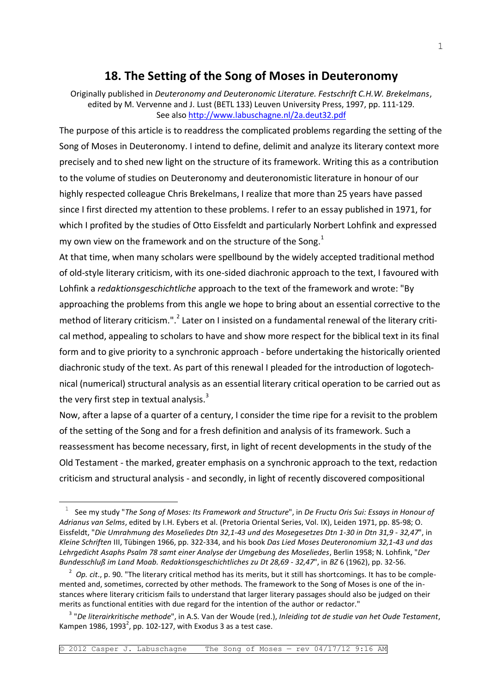# **18. The Setting of the Song of Moses in Deuteronomy**

Originally published in *Deuteronomy and Deuteronomic Literature. Festschrift C.H.W. Brekelmans*, edited by M. Vervenne and J. Lust (BETL 133) Leuven University Press, 1997, pp. 111-129. See also<http://www.labuschagne.nl/2a.deut32.pdf>

The purpose of this article is to readdress the complicated problems regarding the setting of the Song of Moses in Deuteronomy. I intend to define, delimit and analyze its literary context more precisely and to shed new light on the structure of its framework. Writing this as a contribution to the volume of studies on Deuteronomy and deuteronomistic literature in honour of our highly respected colleague Chris Brekelmans, I realize that more than 25 years have passed since I first directed my attention to these problems. I refer to an essay published in 1971, for which I profited by the studies of Otto Eissfeldt and particularly Norbert Lohfink and expressed my own view on the framework and on the structure of the Song. $<sup>1</sup>$ </sup>

At that time, when many scholars were spellbound by the widely accepted traditional method of old-style literary criticism, with its one-sided diachronic approach to the text, I favoured with Lohfink a *redaktionsgeschichtliche* approach to the text of the framework and wrote: "By approaching the problems from this angle we hope to bring about an essential corrective to the method of literary criticism.".<sup>2</sup> Later on I insisted on a fundamental renewal of the literary critical method, appealing to scholars to have and show more respect for the biblical text in its final form and to give priority to a synchronic approach - before undertaking the historically oriented diachronic study of the text. As part of this renewal I pleaded for the introduction of logotechnical (numerical) structural analysis as an essential literary critical operation to be carried out as the very first step in textual analysis. $3$ 

Now, after a lapse of a quarter of a century, I consider the time ripe for a revisit to the problem of the setting of the Song and for a fresh definition and analysis of its framework. Such a reassessment has become necessary, first, in light of recent developments in the study of the Old Testament - the marked, greater emphasis on a synchronic approach to the text, redaction criticism and structural analysis - and secondly, in light of recently discovered compositional

—<br>—

<sup>1</sup> See my study "*The Song of Moses: Its Framework and Structure*", in *De Fructu Oris Sui: Essays in Honour of Adrianus van Selms*, edited by I.H. Eybers et al. (Pretoria Oriental Series, Vol. IX), Leiden 1971, pp. 85-98; O. Eissfeldt, "*Die Umrahmung des Moseliedes Dtn 32,1-43 und des Mosegesetzes Dtn 1-30 in Dtn 31,9 - 32,47*", in *Kleine Schriften* III, Tübingen 1966, pp. 322-334, and his book *Das Lied Moses Deuteronomium 32,1-43 und das Lehrgedicht Asaphs Psalm 78 samt einer Analyse der Umgebung des Moseliedes*, Berlin 1958; N. Lohfink, "*Der Bundesschluß im Land Moab. Redaktionsgeschichtliches zu Dt 28,69 - 32,47*", in *BZ* 6 (1962), pp. 32-56.

<sup>2</sup> *Op. cit*., p. 90. "The literary critical method has its merits, but it still has shortcomings. It has to be complemented and, sometimes, corrected by other methods. The framework to the Song of Moses is one of the instances where literary criticism fails to understand that larger literary passages should also be judged on their merits as functional entities with due regard for the intention of the author or redactor."

<sup>3</sup> "*De literairkritische methode*", in A.S. Van der Woude (red.), *Inleiding tot de studie van het Oude Testament*, Kampen 1986, 1993<sup>2</sup>, pp. 102-127, with Exodus 3 as a test case.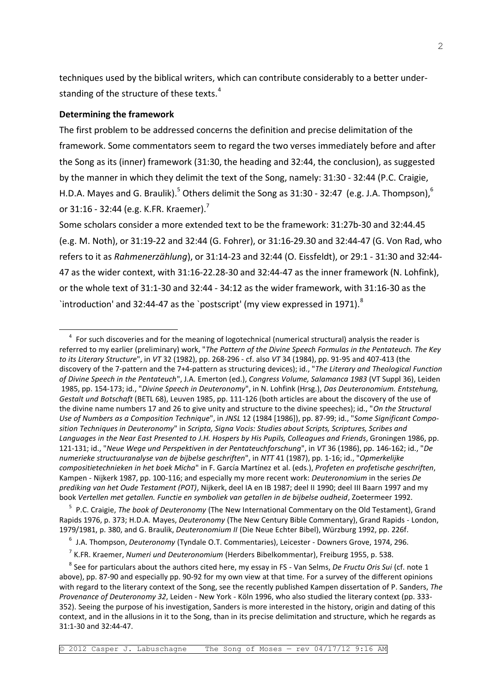techniques used by the biblical writers, which can contribute considerably to a better understanding of the structure of these texts.<sup>4</sup>

#### **Determining the framework**

—<br>—

The first problem to be addressed concerns the definition and precise delimitation of the framework. Some commentators seem to regard the two verses immediately before and after the Song as its (inner) framework (31:30, the heading and 32:44, the conclusion), as suggested by the manner in which they delimit the text of the Song, namely: 31:30 - 32:44 (P.C. Craigie, H.D.A. Mayes and G. Braulik).<sup>5</sup> Others delimit the Song as 31:30 - 32:47 (e.g. J.A. Thompson),<sup>6</sup> or 31:16 - 32:44 (e.g. K.FR. Kraemer).<sup>7</sup>

Some scholars consider a more extended text to be the framework: 31:27b-30 and 32:44.45 (e.g. M. Noth), or 31:19-22 and 32:44 (G. Fohrer), or 31:16-29.30 and 32:44-47 (G. Von Rad, who refers to it as *Rahmenerzählung*), or 31:14-23 and 32:44 (O. Eissfeldt), or 29:1 - 31:30 and 32:44- 47 as the wider context, with 31:16-22.28-30 and 32:44-47 as the inner framework (N. Lohfink), or the whole text of 31:1-30 and 32:44 - 34:12 as the wider framework, with 31:16-30 as the `introduction' and 32:44-47 as the `postscript' (my view expressed in 1971). $^8$ 

5 P.C. Craigie, *The book of Deuteronomy* (The New International Commentary on the Old Testament), Grand Rapids 1976, p. 373; H.D.A. Mayes, *Deuteronomy* (The New Century Bible Commentary), Grand Rapids - London, 1979/1981, p. 380, and G. Braulik, *Deuteronomium II* (Die Neue Echter Bibel), Würzburg 1992, pp. 226f.

<sup>&</sup>lt;sup>4</sup> For such discoveries and for the meaning of logotechnical (numerical structural) analysis the reader is referred to my earlier (preliminary) work, "*The Pattern of the Divine Speech Formulas in the Pentateuch. The Key to its Literary Structure*", in *VT* 32 (1982), pp. 268-296 - cf. also *VT* 34 (1984), pp. 91-95 and 407-413 (the discovery of the 7-pattern and the 7+4-pattern as structuring devices); id., "*The Literary and Theological Function of Divine Speech in the Pentateuch*", J.A. Emerton (ed.), *Congress Volume, Salamanca 1983* (VT Suppl 36), Leiden 1985, pp. 154-173; id., "*Divine Speech in Deuteronomy*", in N. Lohfink (Hrsg.), *Das Deuteronomium. Entstehung, Gestalt und Botschaft* (BETL 68), Leuven 1985, pp. 111-126 (both articles are about the discovery of the use of the divine name numbers 17 and 26 to give unity and structure to the divine speeches); id., "*On the Structural Use of Numbers as a Composition Technique*", in *JNSL* 12 (1984 [1986]), pp. 87-99; id., "*Some Significant Composition Techniques in Deuteronomy*" in *Scripta, Signa Vocis: Studies about Scripts, Scriptures, Scribes and Languages in the Near East Presented to J.H. Hospers by His Pupils, Colleagues and Friends*, Groningen 1986, pp. 121-131; id., "*Neue Wege und Perspektiven in der Pentateuchforschung*", in *VT* 36 (1986), pp. 146-162; id., "*De numerieke structuuranalyse van de bijbelse geschriften*", in *NTT* 41 (1987), pp. 1-16; id., "*Opmerkelijke compositietechnieken in het boek Micha*" in F. García Martínez et al. (eds.), *Profeten en profetische geschriften*, Kampen - Nijkerk 1987, pp. 100-116; and especially my more recent work: *Deuteronomium* in the series *De prediking van het Oude Testament (POT)*, Nijkerk, deel IA en IB 1987; deel II 1990; deel III Baarn 1997 and my book *Vertellen met getallen. Functie en symboliek van getallen in de bijbelse oudheid*, Zoetermeer 1992.

<sup>6</sup> J.A. Thompson, *Deuteronomy* (Tyndale O.T. Commentaries), Leicester - Downers Grove, 1974, 296.

<sup>7</sup> K.FR. Kraemer, *Numeri und Deuteronomium* (Herders Bibelkommentar), Freiburg 1955, p. 538.

<sup>8</sup> See for particulars about the authors cited here, my essay in FS - Van Selms, *De Fructu Oris Sui* (cf. note 1 above), pp. 87-90 and especially pp. 90-92 for my own view at that time. For a survey of the different opinions with regard to the literary context of the Song, see the recently published Kampen dissertation of P. Sanders, *The Provenance of Deuteronomy 32*, Leiden - New York - Köln 1996, who also studied the literary context (pp. 333- 352). Seeing the purpose of his investigation, Sanders is more interested in the history, origin and dating of this context, and in the allusions in it to the Song, than in its precise delimitation and structure, which he regards as 31:1-30 and 32:44-47.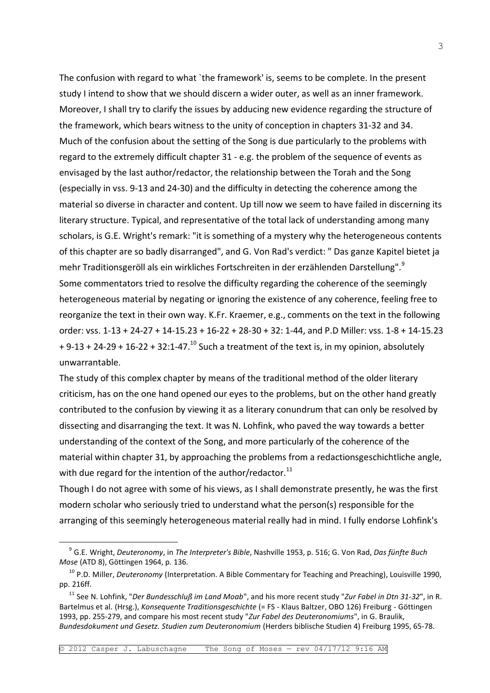The confusion with regard to what `the framework' is, seems to be complete. In the present study I intend to show that we should discern a wider outer, as well as an inner framework. Moreover, I shall try to clarify the issues by adducing new evidence regarding the structure of the framework, which bears witness to the unity of conception in chapters 31-32 and 34. Much of the confusion about the setting of the Song is due particularly to the problems with regard to the extremely difficult chapter 31 - e.g. the problem of the sequence of events as envisaged by the last author/redactor, the relationship between the Torah and the Song (especially in vss. 9-13 and 24-30) and the difficulty in detecting the coherence among the material so diverse in character and content. Up till now we seem to have failed in discerning its literary structure. Typical, and representative of the total lack of understanding among many scholars, is G.E. Wright's remark: "it is something of a mystery why the heterogeneous contents of this chapter are so badly disarranged", and G. Von Rad's verdict: " Das ganze Kapitel bietet ja mehr Traditionsgeröll als ein wirkliches Fortschreiten in der erzählenden Darstellung".<sup>9</sup> Some commentators tried to resolve the difficulty regarding the coherence of the seemingly heterogeneous material by negating or ignoring the existence of any coherence, feeling free to reorganize the text in their own way. K.Fr. Kraemer, e.g., comments on the text in the following order: vss. 1-13 + 24-27 + 14-15.23 + 16-22 + 28-30 + 32: 1-44, and P.D Miller: vss. 1-8 + 14-15.23  $+ 9-13 + 24-29 + 16-22 + 32:1-47.<sup>10</sup>$  Such a treatment of the text is, in my opinion, absolutely unwarrantable.

The study of this complex chapter by means of the traditional method of the older literary criticism, has on the one hand opened our eyes to the problems, but on the other hand greatly contributed to the confusion by viewing it as a literary conundrum that can only be resolved by dissecting and disarranging the text. It was N. Lohfink, who paved the way towards a better understanding of the context of the Song, and more particularly of the coherence of the material within chapter 31, by approaching the problems from a redactionsgeschichtliche angle, with due regard for the intention of the author/redactor. $^{11}$ 

Though I do not agree with some of his views, as I shall demonstrate presently, he was the first modern scholar who seriously tried to understand what the person(s) responsible for the arranging of this seemingly heterogeneous material really had in mind. I fully endorse Lohfink's

—<br>—

<sup>9</sup> G.E. Wright, *Deuteronomy*, in *The Interpreter's Bible*, Nashville 1953, p. 516; G. Von Rad, *Das fünfte Buch Mose* (ATD 8), Göttingen 1964, p. 136.

<sup>10</sup> P.D. Miller, *Deuteronomy* (Interpretation. A Bible Commentary for Teaching and Preaching), Louisville 1990, pp. 216ff.

<sup>11</sup> See N. Lohfink, "*Der Bundesschluß im Land Moab*", and his more recent study "*Zur Fabel in Dtn 31-32*", in R. Bartelmus et al. (Hrsg.), *Konsequente Traditionsgeschichte* (= FS - Klaus Baltzer, OBO 126) Freiburg - Göttingen 1993, pp. 255-279, and compare his most recent study "*Zur Fabel des Deuteronomiums*", in G. Braulik, *Bundesdokument und Gesetz. Studien zum Deuteronomium* (Herders biblische Studien 4) Freiburg 1995, 65-78.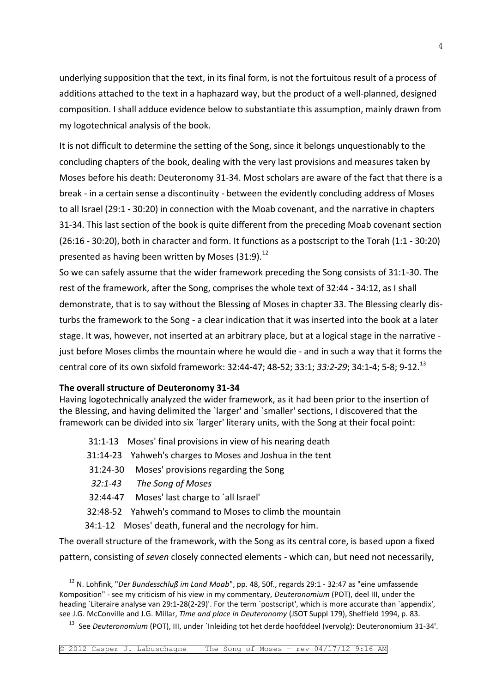underlying supposition that the text, in its final form, is not the fortuitous result of a process of additions attached to the text in a haphazard way, but the product of a well-planned, designed composition. I shall adduce evidence below to substantiate this assumption, mainly drawn from my logotechnical analysis of the book.

It is not difficult to determine the setting of the Song, since it belongs unquestionably to the concluding chapters of the book, dealing with the very last provisions and measures taken by Moses before his death: Deuteronomy 31-34. Most scholars are aware of the fact that there is a break - in a certain sense a discontinuity - between the evidently concluding address of Moses to all Israel (29:1 - 30:20) in connection with the Moab covenant, and the narrative in chapters 31-34. This last section of the book is quite different from the preceding Moab covenant section (26:16 - 30:20), both in character and form. It functions as a postscript to the Torah (1:1 - 30:20) presented as having been written by Moses  $(31:9).$ <sup>12</sup>

So we can safely assume that the wider framework preceding the Song consists of 31:1-30. The rest of the framework, after the Song, comprises the whole text of 32:44 - 34:12, as I shall demonstrate, that is to say without the Blessing of Moses in chapter 33. The Blessing clearly disturbs the framework to the Song - a clear indication that it was inserted into the book at a later stage. It was, however, not inserted at an arbitrary place, but at a logical stage in the narrative just before Moses climbs the mountain where he would die - and in such a way that it forms the central core of its own sixfold framework: 32:44-47; 48-52; 33:1; *33:2-29*; 34:1-4; 5-8; 9-12.<sup>13</sup>

#### **The overall structure of Deuteronomy 31-34**

Having logotechnically analyzed the wider framework, as it had been prior to the insertion of the Blessing, and having delimited the `larger' and `smaller' sections, I discovered that the framework can be divided into six `larger' literary units, with the Song at their focal point:

- 31:1-13 Moses' final provisions in view of his nearing death
- 31:14-23 Yahweh's charges to Moses and Joshua in the tent
- 31:24-30 Moses' provisions regarding the Song
- *32:1-43 The Song of Moses*

—<br>—

- 32:44-47 Moses' last charge to `all Israel'
- 32:48-52 Yahweh's command to Moses to climb the mountain
- 34:1-12 Moses' death, funeral and the necrology for him.

The overall structure of the framework, with the Song as its central core, is based upon a fixed pattern, consisting of *seven* closely connected elements - which can, but need not necessarily,

<sup>12</sup> N. Lohfink, "*Der Bundesschluß im Land Moab*", pp. 48, 50f., regards 29:1 - 32:47 as "eine umfassende Komposition" - see my criticism of his view in my commentary, *Deuteronomium* (POT), deel III, under the heading `Literaire analyse van 29:1-28(2-29)'. For the term `postscript', which is more accurate than `appendix', see J.G. McConville and J.G. Millar, *Time and place in Deuteronomy* (JSOT Suppl 179), Sheffield 1994, p. 83.

<sup>&</sup>lt;sup>13</sup> See *Deuteronomium* (POT), III, under `Inleiding tot het derde hoofddeel (vervolg): Deuteronomium 31-34'.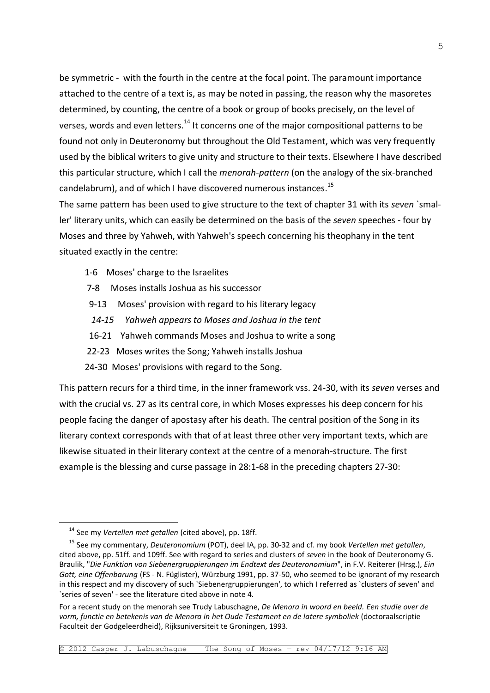be symmetric - with the fourth in the centre at the focal point. The paramount importance attached to the centre of a text is, as may be noted in passing, the reason why the masoretes determined, by counting, the centre of a book or group of books precisely, on the level of verses, words and even letters.<sup>14</sup> It concerns one of the major compositional patterns to be found not only in Deuteronomy but throughout the Old Testament, which was very frequently used by the biblical writers to give unity and structure to their texts. Elsewhere I have described this particular structure, which I call the *menorah-pattern* (on the analogy of the six-branched candelabrum), and of which I have discovered numerous instances.<sup>15</sup>

The same pattern has been used to give structure to the text of chapter 31 with its *seven* `smaller' literary units, which can easily be determined on the basis of the *seven* speeches - four by Moses and three by Yahweh, with Yahweh's speech concerning his theophany in the tent situated exactly in the centre:

- 1-6 Moses' charge to the Israelites
- 7-8 Moses installs Joshua as his successor
- 9-13 Moses' provision with regard to his literary legacy
- *14-15 Yahweh appears to Moses and Joshua in the tent*
- 16-21 Yahweh commands Moses and Joshua to write a song
- 22-23 Moses writes the Song; Yahweh installs Joshua
- 24-30 Moses' provisions with regard to the Song.

This pattern recurs for a third time, in the inner framework vss. 24-30, with its *seven* verses and with the crucial vs. 27 as its central core, in which Moses expresses his deep concern for his people facing the danger of apostasy after his death. The central position of the Song in its literary context corresponds with that of at least three other very important texts, which are likewise situated in their literary context at the centre of a menorah-structure. The first example is the blessing and curse passage in 28:1-68 in the preceding chapters 27-30:

—<br>—

<sup>14</sup> See my *Vertellen met getallen* (cited above), pp. 18ff.

<sup>15</sup> See my commentary, *Deuteronomium* (POT), deel IA, pp. 30-32 and cf. my book *Vertellen met getallen*, cited above, pp. 51ff. and 109ff. See with regard to series and clusters of *seven* in the book of Deuteronomy G. Braulik, "*Die Funktion von Siebenergruppierungen im Endtext des Deuteronomium*", in F.V. Reiterer (Hrsg.), *Ein Gott, eine Offenbarung* (FS - N. Füglister), Würzburg 1991, pp. 37-50, who seemed to be ignorant of my research in this respect and my discovery of such `Siebenergruppierungen', to which I referred as `clusters of seven' and `series of seven' - see the literature cited above in note 4.

For a recent study on the menorah see Trudy Labuschagne, *De Menora in woord en beeld. Een studie over de vorm, functie en betekenis van de Menora in het Oude Testament en de latere symboliek* (doctoraalscriptie Faculteit der Godgeleerdheid), Rijksuniversiteit te Groningen, 1993.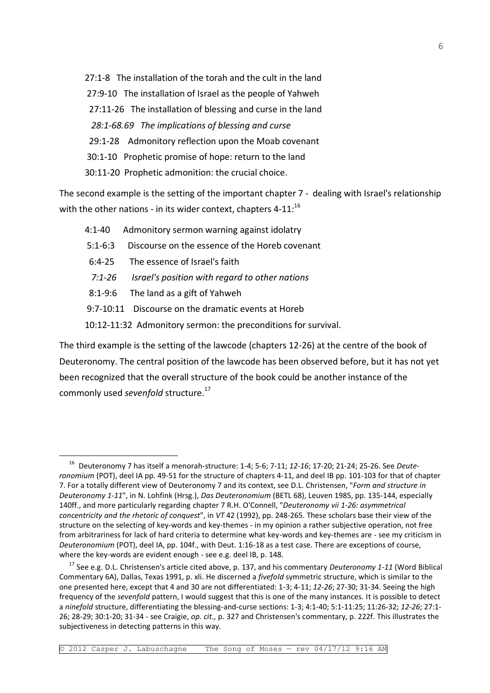27:1-8 The installation of the torah and the cult in the land 27:9-10 The installation of Israel as the people of Yahweh 27:11-26 The installation of blessing and curse in the land *28:1-68.69 The implications of blessing and curse* 29:1-28 Admonitory reflection upon the Moab covenant 30:1-10 Prophetic promise of hope: return to the land 30:11-20 Prophetic admonition: the crucial choice.

The second example is the setting of the important chapter 7 - dealing with Israel's relationship with the other nations - in its wider context, chapters  $4-11$ :<sup>16</sup>

- 4:1-40 Admonitory sermon warning against idolatry
- 5:1-6:3 Discourse on the essence of the Horeb covenant
- 6:4-25 The essence of Israel's faith
- *7:1-26 Israel's position with regard to other nations*
- 8:1-9:6 The land as a gift of Yahweh

—<br>—

- 9:7-10:11 Discourse on the dramatic events at Horeb
- 10:12-11:32 Admonitory sermon: the preconditions for survival.

The third example is the setting of the lawcode (chapters 12-26) at the centre of the book of Deuteronomy. The central position of the lawcode has been observed before, but it has not yet been recognized that the overall structure of the book could be another instance of the commonly used *sevenfold* structure. 17

<sup>16</sup> Deuteronomy 7 has itself a menorah-structure: 1-4; 5-6; 7-11; *12-16*; 17-20; 21-24; 25-26. See *Deuteronomium* (POT), deel IA pp. 49-51 for the structure of chapters 4-11, and deel IB pp. 101-103 for that of chapter 7. For a totally different view of Deuteronomy 7 and its context, see D.L. Christensen, "*Form and structure in Deuteronomy 1-11*", in N. Lohfink (Hrsg.), *Das Deuteronomium* (BETL 68), Leuven 1985, pp. 135-144, especially 140ff., and more particularly regarding chapter 7 R.H. O'Connell, "*Deuteronomy vii 1-26: asymmetrical concentricity and the rhetoric of conquest*", in *VT* 42 (1992), pp. 248-265. These scholars base their view of the structure on the selecting of key-words and key-themes - in my opinion a rather subjective operation, not free from arbitrariness for lack of hard criteria to determine what key-words and key-themes are - see my criticism in *Deuteronomium* (POT), deel IA, pp. 104f., with Deut. 1:16-18 as a test case. There are exceptions of course, where the key-words are evident enough - see e.g. deel IB, p. 148.

<sup>17</sup> See e.g. D.L. Christensen's article cited above, p. 137, and his commentary *Deuteronomy 1-11* (Word Biblical Commentary 6A), Dallas, Texas 1991, p. xli. He discerned a *fivefold* symmetric structure, which is similar to the one presented here, except that 4 and 30 are not differentiated: 1-3; 4-11; *12-26*; 27-30; 31-34. Seeing the high frequency of the *sevenfold* pattern, I would suggest that this is one of the many instances. It is possible to detect a *ninefold* structure, differentiating the blessing-and-curse sections: 1-3; 4:1-40; 5:1-11:25; 11:26-32; *12-26*; 27:1- 26; 28-29; 30:1-20; 31-34 - see Craigie, *op. cit.,* p. 327 and Christensen's commentary, p. 222f. This illustrates the subjectiveness in detecting patterns in this way.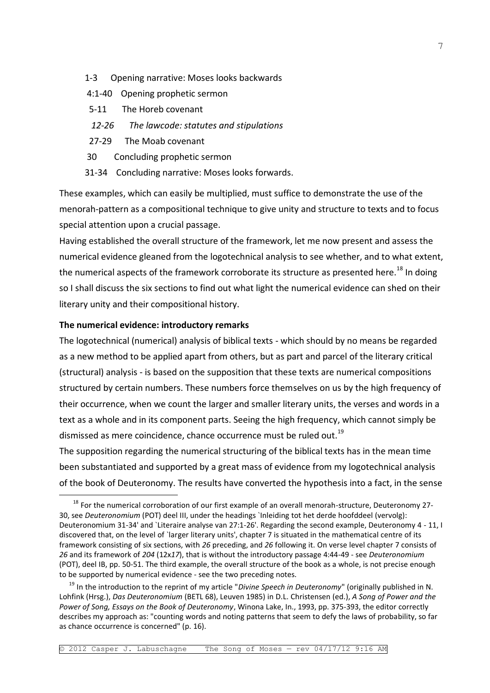- 1-3 Opening narrative: Moses looks backwards
- 4:1-40 Opening prophetic sermon
- 5-11 The Horeb covenant
- *12-26 The lawcode: statutes and stipulations*
- 27-29 The Moab covenant
- 30 Concluding prophetic sermon
- 31-34 Concluding narrative: Moses looks forwards.

These examples, which can easily be multiplied, must suffice to demonstrate the use of the menorah-pattern as a compositional technique to give unity and structure to texts and to focus special attention upon a crucial passage.

Having established the overall structure of the framework, let me now present and assess the numerical evidence gleaned from the logotechnical analysis to see whether, and to what extent, the numerical aspects of the framework corroborate its structure as presented here.<sup>18</sup> In doing so I shall discuss the six sections to find out what light the numerical evidence can shed on their literary unity and their compositional history.

#### **The numerical evidence: introductory remarks**

—<br>—

The logotechnical (numerical) analysis of biblical texts - which should by no means be regarded as a new method to be applied apart from others, but as part and parcel of the literary critical (structural) analysis - is based on the supposition that these texts are numerical compositions structured by certain numbers. These numbers force themselves on us by the high frequency of their occurrence, when we count the larger and smaller literary units, the verses and words in a text as a whole and in its component parts. Seeing the high frequency, which cannot simply be dismissed as mere coincidence, chance occurrence must be ruled out.<sup>19</sup>

The supposition regarding the numerical structuring of the biblical texts has in the mean time been substantiated and supported by a great mass of evidence from my logotechnical analysis of the book of Deuteronomy. The results have converted the hypothesis into a fact, in the sense

<sup>&</sup>lt;sup>18</sup> For the numerical corroboration of our first example of an overall menorah-structure, Deuteronomy 27-30, see *Deuteronomium* (POT) deel III, under the headings `Inleiding tot het derde hoofddeel (vervolg): Deuteronomium 31-34' and `Literaire analyse van 27:1-26'. Regarding the second example, Deuteronomy 4 - 11, I discovered that, on the level of `larger literary units', chapter 7 is situated in the mathematical centre of its framework consisting of six sections, with *26* preceding, and *26* following it. On verse level chapter 7 consists of *26* and its framework of *204* (12x*17*), that is without the introductory passage 4:44-49 - see *Deuteronomium* (POT), deel IB, pp. 50-51. The third example, the overall structure of the book as a whole, is not precise enough to be supported by numerical evidence - see the two preceding notes.

<sup>19</sup> In the introduction to the reprint of my article "*Divine Speech in Deuteronomy*" (originally published in N. Lohfink (Hrsg.), *Das Deuteronomium* (BETL 68), Leuven 1985) in D.L. Christensen (ed.), *A Song of Power and the Power of Song, Essays on the Book of Deuteronomy*, Winona Lake, In., 1993, pp. 375-393, the editor correctly describes my approach as: "counting words and noting patterns that seem to defy the laws of probability, so far as chance occurrence is concerned" (p. 16).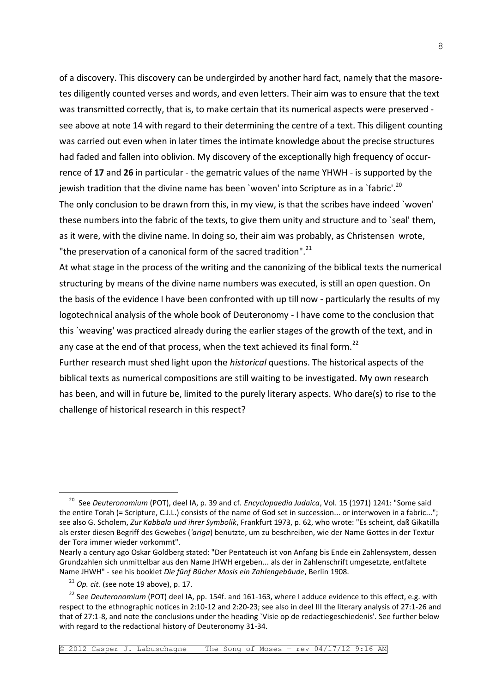of a discovery. This discovery can be undergirded by another hard fact, namely that the masoretes diligently counted verses and words, and even letters. Their aim was to ensure that the text was transmitted correctly, that is, to make certain that its numerical aspects were preserved see above at note 14 with regard to their determining the centre of a text. This diligent counting was carried out even when in later times the intimate knowledge about the precise structures had faded and fallen into oblivion. My discovery of the exceptionally high frequency of occurrence of **17** and **26** in particular - the gematric values of the name YHWH - is supported by the jewish tradition that the divine name has been `woven' into Scripture as in a `fabric'.<sup>20</sup> The only conclusion to be drawn from this, in my view, is that the scribes have indeed `woven' these numbers into the fabric of the texts, to give them unity and structure and to `seal' them, as it were, with the divine name. In doing so, their aim was probably, as Christensen wrote, "the preservation of a canonical form of the sacred tradition".<sup>21</sup>

At what stage in the process of the writing and the canonizing of the biblical texts the numerical structuring by means of the divine name numbers was executed, is still an open question. On the basis of the evidence I have been confronted with up till now - particularly the results of my logotechnical analysis of the whole book of Deuteronomy - I have come to the conclusion that this `weaving' was practiced already during the earlier stages of the growth of the text, and in any case at the end of that process, when the text achieved its final form.<sup>22</sup>

Further research must shed light upon the *historical* questions. The historical aspects of the biblical texts as numerical compositions are still waiting to be investigated. My own research has been, and will in future be, limited to the purely literary aspects. Who dare(s) to rise to the challenge of historical research in this respect?

—<br>—

<sup>20</sup> See *Deuteronomium* (POT), deel IA, p. 39 and cf. *Encyclopaedia Judaica*, Vol. 15 (1971) 1241: "Some said the entire Torah (= Scripture, C.J.L.) consists of the name of God set in succession... or interwoven in a fabric..."; see also G. Scholem, *Zur Kabbala und ihrer Symbolik*, Frankfurt 1973, p. 62, who wrote: "Es scheint, daß Gikatilla als erster diesen Begriff des Gewebes (*'ariga*) benutzte, um zu beschreiben, wie der Name Gottes in der Textur der Tora immer wieder vorkommt".

Nearly a century ago Oskar Goldberg stated: "Der Pentateuch ist von Anfang bis Ende ein Zahlensystem, dessen Grundzahlen sich unmittelbar aus den Name JHWH ergeben... als der in Zahlenschrift umgesetzte, entfaltete Name JHWH" - see his booklet *Die fünf Bücher Mosis ein Zahlengebäude*, Berlin 1908.

 $21$  *Op. cit.* (see note 19 above), p. 17.

<sup>&</sup>lt;sup>22</sup> See *Deuteronomium* (POT) deel IA, pp. 154f. and 161-163, where I adduce evidence to this effect, e.g. with respect to the ethnographic notices in 2:10-12 and 2:20-23; see also in deel III the literary analysis of 27:1-26 and that of 27:1-8, and note the conclusions under the heading `Visie op de redactiegeschiedenis'. See further below with regard to the redactional history of Deuteronomy 31-34.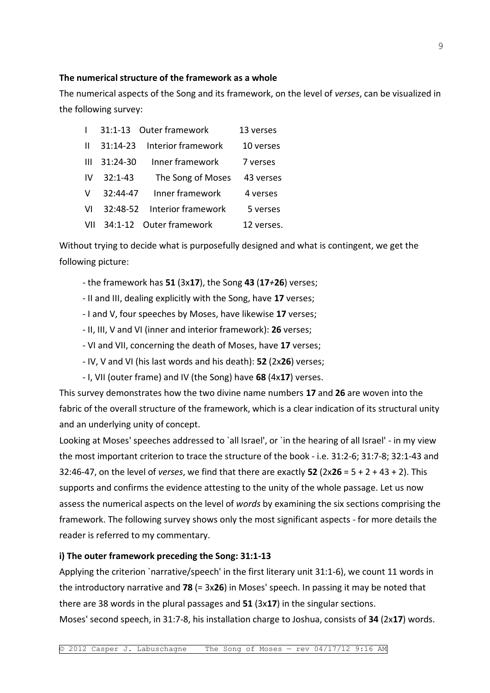### **The numerical structure of the framework as a whole**

The numerical aspects of the Song and its framework, on the level of *verses*, can be visualized in the following survey:

|     |             | 31:1-13 Outer framework     | 13 verses  |
|-----|-------------|-----------------------------|------------|
| Ш   | $31:14-23$  | Interior framework          | 10 verses  |
| Ш   | 31:24-30    | Inner framework             | 7 verses   |
| IV. | $32:1 - 43$ | The Song of Moses           | 43 verses  |
| V   | 32:44-47    | Inner framework             | 4 verses   |
| VI  |             | 32:48-52 Interior framework | 5 verses   |
| VII |             | 34:1-12 Outer framework     | 12 verses. |

Without trying to decide what is purposefully designed and what is contingent, we get the following picture:

- the framework has **51** (3x**17**), the Song **43** (**17***+***26**) verses;
- II and III, dealing explicitly with the Song, have **17** verses;
- I and V, four speeches by Moses, have likewise **17** verses;
- II, III, V and VI (inner and interior framework): **26** verses;
- VI and VII, concerning the death of Moses, have **17** verses;
- IV, V and VI (his last words and his death): **52** (2x**26**) verses;
- I, VII (outer frame) and IV (the Song) have **68** (4x**17**) verses.

This survey demonstrates how the two divine name numbers **17** and **26** are woven into the fabric of the overall structure of the framework, which is a clear indication of its structural unity and an underlying unity of concept.

Looking at Moses' speeches addressed to `all Israel', or `in the hearing of all Israel' - in my view the most important criterion to trace the structure of the book - i.e. 31:2-6; 31:7-8; 32:1-43 and 32:46-47, on the level of *verses*, we find that there are exactly **52** (2x**26** = 5 + 2 + 43 + 2). This supports and confirms the evidence attesting to the unity of the whole passage. Let us now assess the numerical aspects on the level of *words* by examining the six sections comprising the framework. The following survey shows only the most significant aspects - for more details the reader is referred to my commentary.

### **i) The outer framework preceding the Song: 31:1-13**

Applying the criterion `narrative/speech' in the first literary unit 31:1-6), we count 11 words in the introductory narrative and **78** (= 3x**26**) in Moses' speech. In passing it may be noted that there are 38 words in the plural passages and **51** (3x**17**) in the singular sections.

Moses' second speech, in 31:7-8, his installation charge to Joshua, consists of **34** (2x**17**) words.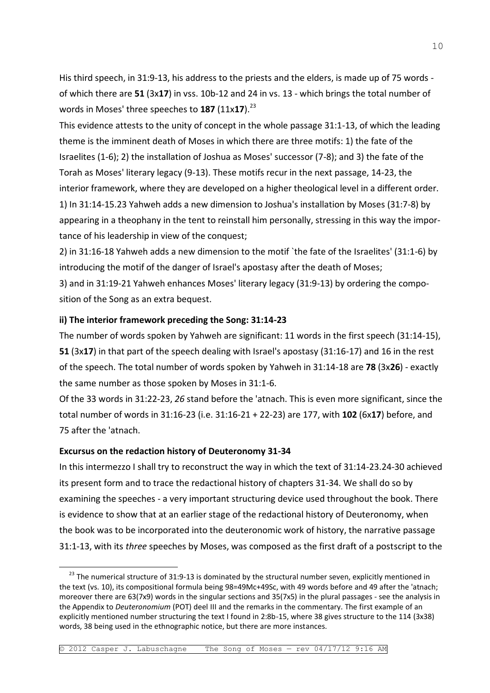His third speech, in 31:9-13, his address to the priests and the elders, is made up of 75 words of which there are **51** (3x**17**) in vss. 10b-12 and 24 in vs. 13 - which brings the total number of words in Moses' three speeches to **187** (11x17).<sup>23</sup>

This evidence attests to the unity of concept in the whole passage 31:1-13, of which the leading theme is the imminent death of Moses in which there are three motifs: 1) the fate of the Israelites (1-6); 2) the installation of Joshua as Moses' successor (7-8); and 3) the fate of the Torah as Moses' literary legacy (9-13). These motifs recur in the next passage, 14-23, the interior framework, where they are developed on a higher theological level in a different order. 1) In 31:14-15.23 Yahweh adds a new dimension to Joshua's installation by Moses (31:7-8) by appearing in a theophany in the tent to reinstall him personally, stressing in this way the importance of his leadership in view of the conquest;

2) in 31:16-18 Yahweh adds a new dimension to the motif `the fate of the Israelites' (31:1-6) by introducing the motif of the danger of Israel's apostasy after the death of Moses; 3) and in 31:19-21 Yahweh enhances Moses' literary legacy (31:9-13) by ordering the composition of the Song as an extra bequest.

### **ii) The interior framework preceding the Song: 31:14-23**

The number of words spoken by Yahweh are significant: 11 words in the first speech (31:14-15), **51** (3x**17**) in that part of the speech dealing with Israel's apostasy (31:16-17) and 16 in the rest of the speech. The total number of words spoken by Yahweh in 31:14-18 are **78** (3x**26**) - exactly the same number as those spoken by Moses in 31:1-6.

Of the 33 words in 31:22-23, *26* stand before the 'atnach. This is even more significant, since the total number of words in 31:16-23 (i.e. 31:16-21 + 22-23) are 177, with **102** (6x**17**) before, and 75 after the 'atnach.

#### **Excursus on the redaction history of Deuteronomy 31-34**

-

In this intermezzo I shall try to reconstruct the way in which the text of 31:14-23.24-30 achieved its present form and to trace the redactional history of chapters 31-34. We shall do so by examining the speeches - a very important structuring device used throughout the book. There is evidence to show that at an earlier stage of the redactional history of Deuteronomy, when the book was to be incorporated into the deuteronomic work of history, the narrative passage 31:1-13, with its *three* speeches by Moses, was composed as the first draft of a postscript to the

<sup>&</sup>lt;sup>23</sup> The numerical structure of 31:9-13 is dominated by the structural number seven, explicitly mentioned in the text (vs. 10), its compositional formula being 98=49Mc+49Sc, with 49 words before and 49 after the 'atnach; moreover there are 63(7x9) words in the singular sections and 35(7x5) in the plural passages - see the analysis in the Appendix to *Deuteronomium* (POT) deel III and the remarks in the commentary. The first example of an explicitly mentioned number structuring the text I found in 2:8b-15, where 38 gives structure to the 114 (3x38) words, 38 being used in the ethnographic notice, but there are more instances.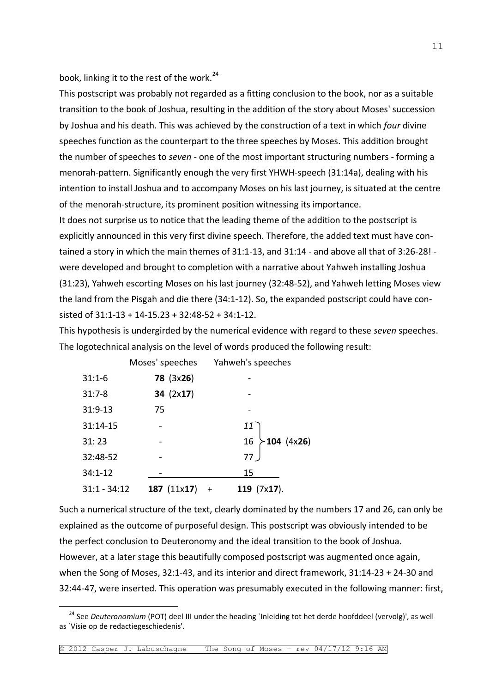book, linking it to the rest of the work.<sup>24</sup>

This postscript was probably not regarded as a fitting conclusion to the book, nor as a suitable transition to the book of Joshua, resulting in the addition of the story about Moses' succession by Joshua and his death. This was achieved by the construction of a text in which *four* divine speeches function as the counterpart to the three speeches by Moses. This addition brought the number of speeches to *seven* - one of the most important structuring numbers - forming a menorah-pattern. Significantly enough the very first YHWH-speech (31:14a), dealing with his intention to install Joshua and to accompany Moses on his last journey, is situated at the centre of the menorah-structure, its prominent position witnessing its importance.

It does not surprise us to notice that the leading theme of the addition to the postscript is explicitly announced in this very first divine speech. Therefore, the added text must have contained a story in which the main themes of 31:1-13, and 31:14 - and above all that of 3:26-28! were developed and brought to completion with a narrative about Yahweh installing Joshua (31:23), Yahweh escorting Moses on his last journey (32:48-52), and Yahweh letting Moses view the land from the Pisgah and die there (34:1-12). So, the expanded postscript could have consisted of 31:1-13 + 14-15.23 + 32:48-52 + 34:1-12.

This hypothesis is undergirded by the numerical evidence with regard to these *seven* speeches. The logotechnical analysis on the level of words produced the following result:

|                | Property contractions and contract to the control |                       |                    |
|----------------|---------------------------------------------------|-----------------------|--------------------|
| $31:1-6$       | <b>78 (3x26)</b>                                  |                       |                    |
| $31:7-8$       | 34 $(2x17)$                                       |                       |                    |
| 31:9-13        | 75                                                |                       |                    |
| 31:14-15       |                                                   | $11^{\circ}$          |                    |
| 31:23          |                                                   | 16                    | $\succ$ 104 (4x26) |
| 32:48-52       |                                                   | 77 <sub>2</sub>       |                    |
| $34:1 - 12$    |                                                   | 15                    |                    |
| $31:1 - 34:12$ | 187 $(11x17)$                                     | 119 $(7x17)$ .<br>$+$ |                    |
|                |                                                   |                       |                    |

÷,

Moses' speeches Yahweh's speeches

Such a numerical structure of the text, clearly dominated by the numbers 17 and 26, can only be explained as the outcome of purposeful design. This postscript was obviously intended to be the perfect conclusion to Deuteronomy and the ideal transition to the book of Joshua. However, at a later stage this beautifully composed postscript was augmented once again, when the Song of Moses, 32:1-43, and its interior and direct framework, 31:14-23 + 24-30 and 32:44-47, were inserted. This operation was presumably executed in the following manner: first,

<sup>&</sup>lt;sup>24</sup> See *Deuteronomium* (POT) deel III under the heading `Inleiding tot het derde hoofddeel (vervolg)', as well as `Visie op de redactiegeschiedenis'.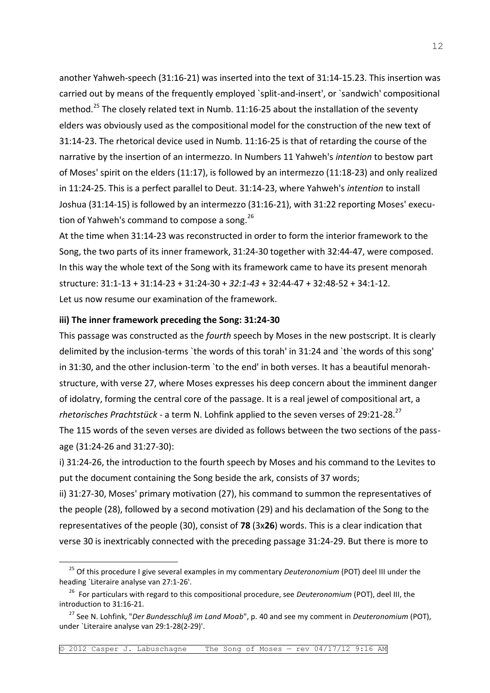another Yahweh-speech (31:16-21) was inserted into the text of 31:14-15.23. This insertion was carried out by means of the frequently employed `split-and-insert', or `sandwich' compositional method.<sup>25</sup> The closely related text in Numb. 11:16-25 about the installation of the seventy elders was obviously used as the compositional model for the construction of the new text of 31:14-23. The rhetorical device used in Numb. 11:16-25 is that of retarding the course of the narrative by the insertion of an intermezzo. In Numbers 11 Yahweh's *intention* to bestow part of Moses' spirit on the elders (11:17), is followed by an intermezzo (11:18-23) and only realized in 11:24-25. This is a perfect parallel to Deut. 31:14-23, where Yahweh's *intention* to install Joshua (31:14-15) is followed by an intermezzo (31:16-21), with 31:22 reporting Moses' execution of Yahweh's command to compose a song.<sup>26</sup>

At the time when 31:14-23 was reconstructed in order to form the interior framework to the Song, the two parts of its inner framework, 31:24-30 together with 32:44-47, were composed. In this way the whole text of the Song with its framework came to have its present menorah structure: 31:1-13 + 31:14-23 + 31:24-30 + *32:1-43* + 32:44-47 + 32:48-52 + 34:1-12. Let us now resume our examination of the framework.

#### **iii) The inner framework preceding the Song: 31:24-30**

—<br>—

This passage was constructed as the *fourth* speech by Moses in the new postscript. It is clearly delimited by the inclusion-terms `the words of this torah' in 31:24 and `the words of this song' in 31:30, and the other inclusion-term `to the end' in both verses. It has a beautiful menorahstructure, with verse 27, where Moses expresses his deep concern about the imminent danger of idolatry, forming the central core of the passage. It is a real jewel of compositional art, a *rhetorisches Prachtstück* - a term N. Lohfink applied to the seven verses of 29:21-28.<sup>27</sup> The 115 words of the seven verses are divided as follows between the two sections of the passage (31:24-26 and 31:27-30):

i) 31:24-26, the introduction to the fourth speech by Moses and his command to the Levites to put the document containing the Song beside the ark, consists of 37 words;

ii) 31:27-30, Moses' primary motivation (27), his command to summon the representatives of the people (28), followed by a second motivation (29) and his declamation of the Song to the representatives of the people (30), consist of **78** (3x**26**) words. This is a clear indication that verse 30 is inextricably connected with the preceding passage 31:24-29. But there is more to

<sup>25</sup> Of this procedure I give several examples in my commentary *Deuteronomium* (POT) deel III under the heading `Literaire analyse van 27:1-26'.

<sup>26</sup> For particulars with regard to this compositional procedure, see *Deuteronomium* (POT), deel III, the introduction to 31:16-21.

<sup>27</sup> See N. Lohfink, "*Der Bundesschluß im Land Moab*", p. 40 and see my comment in *Deuteronomium* (POT), under `Literaire analyse van 29:1-28(2-29)'.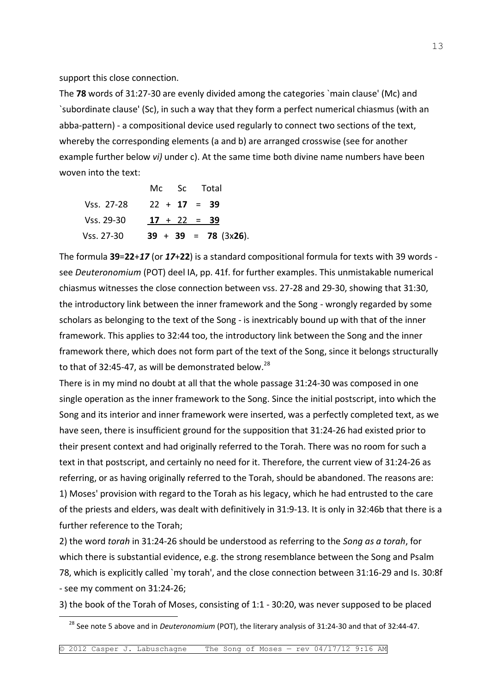support this close connection.

—<br>—

The **78** words of 31:27-30 are evenly divided among the categories `main clause' (Mc) and `subordinate clause' (Sc), in such a way that they form a perfect numerical chiasmus (with an abba-pattern) - a compositional device used regularly to connect two sections of the text, whereby the corresponding elements (a and b) are arranged crosswise (see for another example further below *vi)* under c). At the same time both divine name numbers have been woven into the text:

|            | Mc Sc Total    |  |                        |  |
|------------|----------------|--|------------------------|--|
| Vss. 27-28 | $22 + 17 = 39$ |  |                        |  |
| Vss. 29-30 | $17 + 22 = 39$ |  |                        |  |
| Vss. 27-30 |                |  | $39 + 39 = 78$ (3x26). |  |

The formula **39**=**22**+*17* (or *17*+**22**) is a standard compositional formula for texts with 39 words see *Deuteronomium* (POT) deel IA, pp. 41f. for further examples. This unmistakable numerical chiasmus witnesses the close connection between vss. 27-28 and 29-30, showing that 31:30, the introductory link between the inner framework and the Song - wrongly regarded by some scholars as belonging to the text of the Song - is inextricably bound up with that of the inner framework. This applies to 32:44 too, the introductory link between the Song and the inner framework there, which does not form part of the text of the Song, since it belongs structurally to that of 32:45-47, as will be demonstrated below.<sup>28</sup>

There is in my mind no doubt at all that the whole passage 31:24-30 was composed in one single operation as the inner framework to the Song. Since the initial postscript, into which the Song and its interior and inner framework were inserted, was a perfectly completed text, as we have seen, there is insufficient ground for the supposition that 31:24-26 had existed prior to their present context and had originally referred to the Torah. There was no room for such a text in that postscript, and certainly no need for it. Therefore, the current view of 31:24-26 as referring, or as having originally referred to the Torah, should be abandoned. The reasons are: 1) Moses' provision with regard to the Torah as his legacy, which he had entrusted to the care of the priests and elders, was dealt with definitively in 31:9-13. It is only in 32:46b that there is a further reference to the Torah;

2) the word *torah* in 31:24-26 should be understood as referring to the *Song as a torah*, for which there is substantial evidence, e.g. the strong resemblance between the Song and Psalm 78, which is explicitly called `my torah', and the close connection between 31:16-29 and Is. 30:8f - see my comment on 31:24-26;

3) the book of the Torah of Moses, consisting of 1:1 - 30:20, was never supposed to be placed

<sup>28</sup> See note 5 above and in *Deuteronomium* (POT), the literary analysis of 31:24-30 and that of 32:44-47.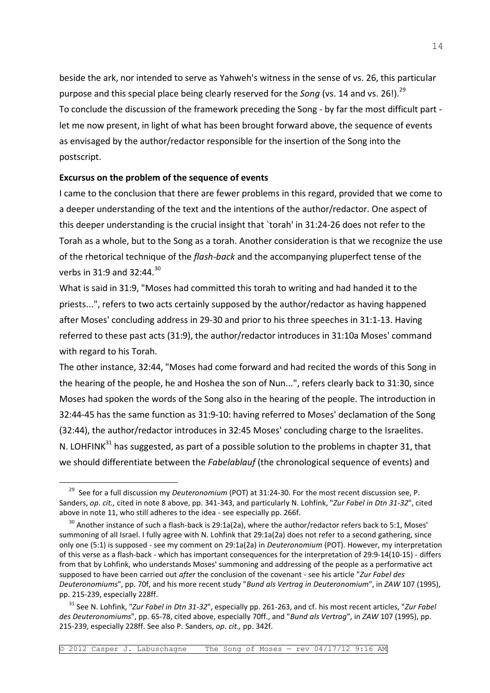beside the ark, nor intended to serve as Yahweh's witness in the sense of vs. 26, this particular purpose and this special place being clearly reserved for the *Song* (vs. 14 and vs. 26!).<sup>29</sup> To conclude the discussion of the framework preceding the Song - by far the most difficult part let me now present, in light of what has been brought forward above, the sequence of events as envisaged by the author/redactor responsible for the insertion of the Song into the postscript.

#### **Excursus on the problem of the sequence of events**

—<br>—

I came to the conclusion that there are fewer problems in this regard, provided that we come to a deeper understanding of the text and the intentions of the author/redactor. One aspect of this deeper understanding is the crucial insight that `torah' in 31:24-26 does not refer to the Torah as a whole, but to the Song as a torah. Another consideration is that we recognize the use of the rhetorical technique of the *flash-back* and the accompanying pluperfect tense of the verbs in 31:9 and 32:44.<sup>30</sup>

What is said in 31:9, "Moses had committed this torah to writing and had handed it to the priests...", refers to two acts certainly supposed by the author/redactor as having happened after Moses' concluding address in 29-30 and prior to his three speeches in 31:1-13. Having referred to these past acts (31:9), the author/redactor introduces in 31:10a Moses' command with regard to his Torah.

The other instance, 32:44, "Moses had come forward and had recited the words of this Song in the hearing of the people, he and Hoshea the son of Nun...", refers clearly back to 31:30, since Moses had spoken the words of the Song also in the hearing of the people. The introduction in 32:44-45 has the same function as 31:9-10: having referred to Moses' declamation of the Song (32:44), the author/redactor introduces in 32:45 Moses' concluding charge to the Israelites. N. LOHFINK $^{31}$  has suggested, as part of a possible solution to the problems in chapter 31, that we should differentiate between the *Fabelablauf* (the chronological sequence of events) and

<sup>29</sup> See for a full discussion my *Deuteronomium* (POT) at 31:24-30. For the most recent discussion see, P. Sanders, *op. cit.,* cited in note 8 above, pp. 341-343, and particularly N. Lohfink, "*Zur Fabel in Dtn 31-32*", cited above in note 11, who still adheres to the idea - see especially pp. 266f.

<sup>&</sup>lt;sup>30</sup> Another instance of such a flash-back is 29:1a(2a), where the author/redactor refers back to 5:1, Moses' summoning of all Israel. I fully agree with N. Lohfink that 29:1a(2a) does not refer to a second gathering, since only one (5:1) is supposed - see my comment on 29:1a(2a) in *Deuteronomium* (POT). However, my interpretation of this verse as a flash-back - which has important consequences for the interpretation of 29:9-14(10-15) - differs from that by Lohfink, who understands Moses' summoning and addressing of the people as a performative act supposed to have been carried out *after* the conclusion of the covenant - see his article "*Zur Fabel des Deuteronomiums*", pp. 70f, and his more recent study "*Bund als Vertrag in Deuteronomium*", in *ZAW* 107 (1995), pp. 215-239, especially 228ff.

<sup>31</sup> See N. Lohfink, "*Zur Fabel in Dtn 31-32*", especially pp. 261-263, and cf. his most recent articles, "*Zur Fabel des Deuteronomiums*", pp. 65-78, cited above, especially 70ff., and "*Bund als Vertrag*", in *ZAW* 107 (1995), pp. 215-239, especially 228ff. See also P. Sanders, *op. cit.,* pp. 342f.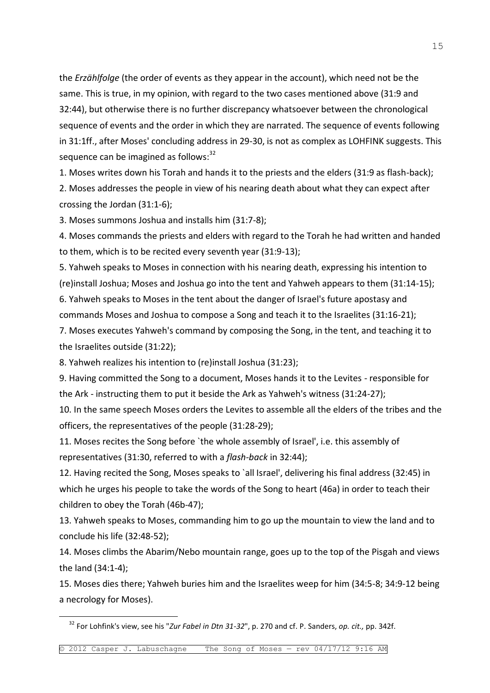the *Erzählfolge* (the order of events as they appear in the account), which need not be the same. This is true, in my opinion, with regard to the two cases mentioned above (31:9 and 32:44), but otherwise there is no further discrepancy whatsoever between the chronological sequence of events and the order in which they are narrated. The sequence of events following in 31:1ff., after Moses' concluding address in 29-30, is not as complex as LOHFINK suggests. This sequence can be imagined as follows: $32$ 

1. Moses writes down his Torah and hands it to the priests and the elders (31:9 as flash-back); 2. Moses addresses the people in view of his nearing death about what they can expect after crossing the Jordan (31:1-6);

3. Moses summons Joshua and installs him (31:7-8);

4. Moses commands the priests and elders with regard to the Torah he had written and handed to them, which is to be recited every seventh year (31:9-13);

5. Yahweh speaks to Moses in connection with his nearing death, expressing his intention to (re)install Joshua; Moses and Joshua go into the tent and Yahweh appears to them (31:14-15);

6. Yahweh speaks to Moses in the tent about the danger of Israel's future apostasy and commands Moses and Joshua to compose a Song and teach it to the Israelites (31:16-21);

7. Moses executes Yahweh's command by composing the Song, in the tent, and teaching it to the Israelites outside (31:22);

8. Yahweh realizes his intention to (re)install Joshua (31:23);

—<br>—

9. Having committed the Song to a document, Moses hands it to the Levites - responsible for the Ark - instructing them to put it beside the Ark as Yahweh's witness (31:24-27);

10. In the same speech Moses orders the Levites to assemble all the elders of the tribes and the officers, the representatives of the people (31:28-29);

11. Moses recites the Song before `the whole assembly of Israel', i.e. this assembly of representatives (31:30, referred to with a *flash-back* in 32:44);

12. Having recited the Song, Moses speaks to `all Israel', delivering his final address (32:45) in which he urges his people to take the words of the Song to heart (46a) in order to teach their children to obey the Torah (46b-47);

13. Yahweh speaks to Moses, commanding him to go up the mountain to view the land and to conclude his life (32:48-52);

14. Moses climbs the Abarim/Nebo mountain range, goes up to the top of the Pisgah and views the land (34:1-4);

15. Moses dies there; Yahweh buries him and the Israelites weep for him (34:5-8; 34:9-12 being a necrology for Moses).

<sup>32</sup> For Lohfink's view, see his "*Zur Fabel in Dtn 31-32*", p. 270 and cf. P. Sanders, *op. cit.,* pp. 342f.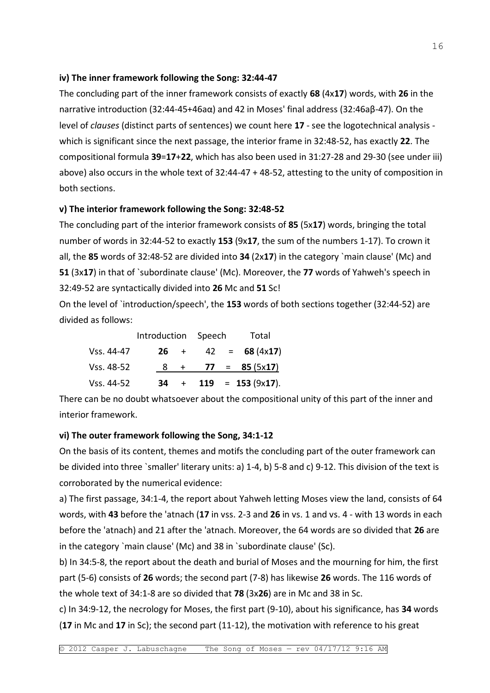## **iv) The inner framework following the Song: 32:44-47**

The concluding part of the inner framework consists of exactly **68** (4x**17**) words, with **26** in the narrative introduction (32:44-45+46aα) and 42 in Moses' final address (32:46aβ-47). On the level of *clauses* (distinct parts of sentences) we count here **17** - see the logotechnical analysis which is significant since the next passage, the interior frame in 32:48-52, has exactly **22**. The compositional formula **39**=**17**+**22**, which has also been used in 31:27-28 and 29-30 (see under iii) above) also occurs in the whole text of 32:44-47 + 48-52, attesting to the unity of composition in both sections.

## **v) The interior framework following the Song: 32:48-52**

The concluding part of the interior framework consists of **85** (5x**17**) words, bringing the total number of words in 32:44-52 to exactly **153** (9x**17**, the sum of the numbers 1-17). To crown it all, the **85** words of 32:48-52 are divided into **34** (2x**17**) in the category `main clause' (Mc) and **51** (3x**17**) in that of `subordinate clause' (Mc). Moreover, the **77** words of Yahweh's speech in 32:49-52 are syntactically divided into **26** Mc and **51** Sc!

On the level of `introduction/speech', the **153** words of both sections together (32:44-52) are divided as follows:

|            |    | Introduction Speech |  | Total |                         |
|------------|----|---------------------|--|-------|-------------------------|
| Vss. 44-47 |    | $26 +$              |  |       | $42 = 68 (4 \times 17)$ |
| Vss. 48-52 |    |                     |  |       | $8 + 77 = 85 (5x17)$    |
| Vss. 44-52 | 34 |                     |  |       | $+$ 119 = 153 (9x17).   |

There can be no doubt whatsoever about the compositional unity of this part of the inner and interior framework.

## **vi) The outer framework following the Song, 34:1-12**

On the basis of its content, themes and motifs the concluding part of the outer framework can be divided into three `smaller' literary units: a) 1-4, b) 5-8 and c) 9-12. This division of the text is corroborated by the numerical evidence:

a) The first passage, 34:1-4, the report about Yahweh letting Moses view the land, consists of 64 words, with **43** before the 'atnach (**17** in vss. 2-3 and **26** in vs. 1 and vs. 4 - with 13 words in each before the 'atnach) and 21 after the 'atnach. Moreover, the 64 words are so divided that **26** are in the category `main clause' (Mc) and 38 in `subordinate clause' (Sc).

b) In 34:5-8, the report about the death and burial of Moses and the mourning for him, the first part (5-6) consists of **26** words; the second part (7-8) has likewise **26** words. The 116 words of the whole text of 34:1-8 are so divided that **78** (3x**26**) are in Mc and 38 in Sc.

c) In 34:9-12, the necrology for Moses, the first part (9-10), about his significance, has **34** words (**17** in Mc and **17** in Sc); the second part (11-12), the motivation with reference to his great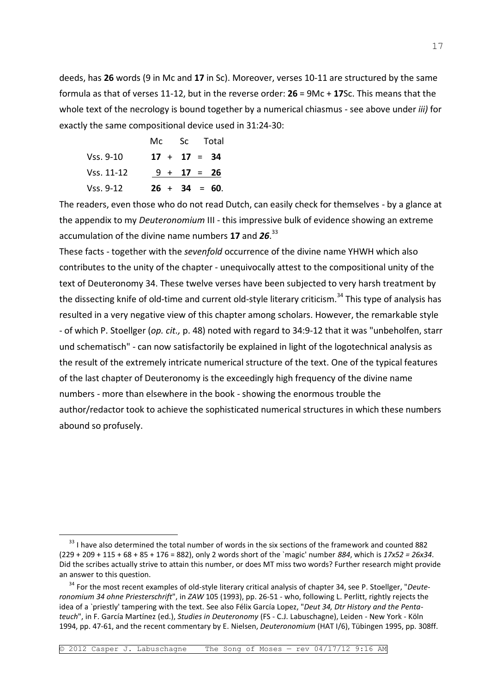deeds, has **26** words (9 in Mc and **17** in Sc). Moreover, verses 10-11 are structured by the same formula as that of verses 11-12, but in the reverse order: **26** = 9Mc + **17**Sc. This means that the whole text of the necrology is bound together by a numerical chiasmus - see above under *iii)* for exactly the same compositional device used in 31:24-30:

|             |  | Mc Sc Total      |
|-------------|--|------------------|
| Vss. 9-10   |  | $17 + 17 = 34$   |
| Vss. 11-12  |  | $9 + 17 = 26$    |
| Vss. $9-12$ |  | $26 + 34 = 60$ . |

—<br>—

The readers, even those who do not read Dutch, can easily check for themselves - by a glance at the appendix to my *Deuteronomium* III - this impressive bulk of evidence showing an extreme accumulation of the divine name numbers **17** and *26*. 33

These facts - together with the *sevenfold* occurrence of the divine name YHWH which also contributes to the unity of the chapter - unequivocally attest to the compositional unity of the text of Deuteronomy 34. These twelve verses have been subjected to very harsh treatment by the dissecting knife of old-time and current old-style literary criticism.<sup>34</sup> This type of analysis has resulted in a very negative view of this chapter among scholars. However, the remarkable style - of which P. Stoellger (*op. cit.,* p. 48) noted with regard to 34:9-12 that it was "unbeholfen, starr und schematisch" - can now satisfactorily be explained in light of the logotechnical analysis as the result of the extremely intricate numerical structure of the text. One of the typical features of the last chapter of Deuteronomy is the exceedingly high frequency of the divine name numbers - more than elsewhere in the book - showing the enormous trouble the author/redactor took to achieve the sophisticated numerical structures in which these numbers abound so profusely.

<sup>&</sup>lt;sup>33</sup> I have also determined the total number of words in the six sections of the framework and counted 882 (229 + 209 + 115 + 68 + 85 + 176 = 882), only 2 words short of the `magic' number *884*, which is *17x52 = 26x34*. Did the scribes actually strive to attain this number, or does MT miss two words? Further research might provide an answer to this question.

<sup>34</sup> For the most recent examples of old-style literary critical analysis of chapter 34, see P. Stoellger, "*Deuteronomium 34 ohne Priesterschrift*", in *ZAW* 105 (1993), pp. 26-51 - who, following L. Perlitt, rightly rejects the idea of a `priestly' tampering with the text. See also Félix García Lopez, "*Deut 34, Dtr History and the Pentateuch*", in F. García Martínez (ed.), *Studies in Deuteronomy* (FS - C.J. Labuschagne), Leiden - New York - Köln 1994, pp. 47-61, and the recent commentary by E. Nielsen, *Deuteronomium* (HAT I/6), Tübingen 1995, pp. 308ff.